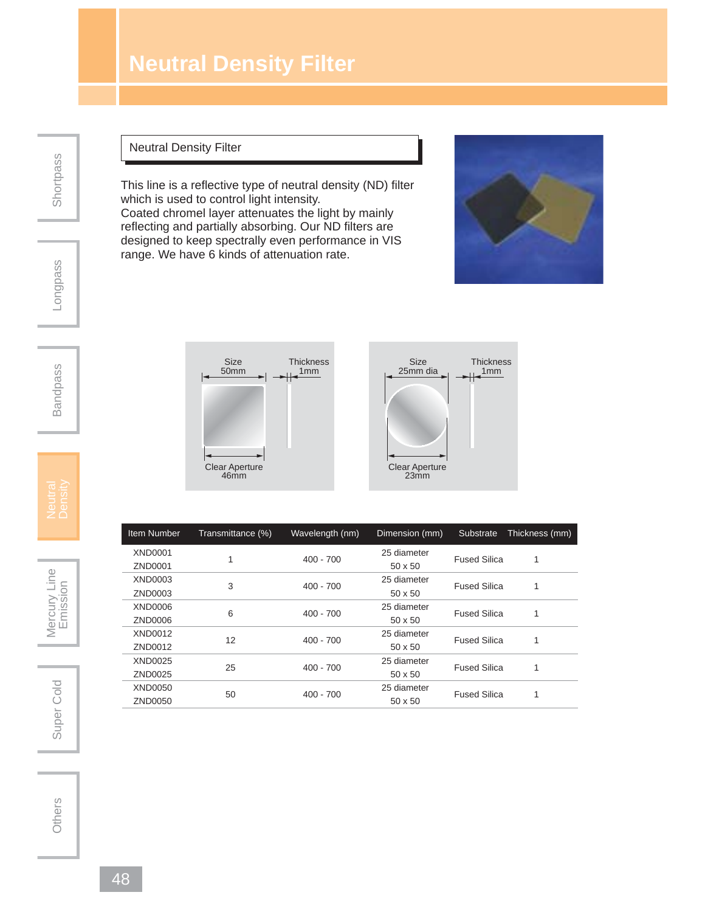## **Neutral Density Filter**

## Neutral Density Filter

This line is a reflective type of neutral density (ND) filter which is used to control light intensity.

Coated chromel layer attenuates the light by mainly reflecting and partially absorbing. Our ND filters are designed to keep spectrally even performance in VIS range. We have 6 kinds of attenuation rate.

> **Thickness**  $\frac{1}{\sqrt{2}}$





Clear Aperture 46mm



| <b>Item Number</b> | Transmittance (%) | Wavelength (nm) | Dimension (mm) | Substrate           | Thickness (mm) |
|--------------------|-------------------|-----------------|----------------|---------------------|----------------|
| <b>XND0001</b>     |                   | $400 - 700$     | 25 diameter    | <b>Fused Silica</b> |                |
| ZND0001            |                   |                 | $50 \times 50$ |                     |                |
| XND0003            | 3                 | $400 - 700$     | 25 diameter    | <b>Fused Silica</b> | 1              |
| ZND0003            |                   |                 | $50 \times 50$ |                     |                |
| XND0006            | 6                 | $400 - 700$     | 25 diameter    | <b>Fused Silica</b> |                |
| ZND0006            |                   |                 | $50 \times 50$ |                     |                |
| XND0012            | 12                | $400 - 700$     | 25 diameter    | <b>Fused Silica</b> | 1              |
| ZND0012            |                   |                 | $50 \times 50$ |                     |                |
| XND0025            | 25                | $400 - 700$     | 25 diameter    | <b>Fused Silica</b> | 1              |
| ZND0025            |                   |                 | $50 \times 50$ |                     |                |
| XND0050            | 50                | $400 - 700$     | 25 diameter    | <b>Fused Silica</b> |                |
| ZND0050            |                   |                 | $50 \times 50$ |                     |                |
|                    |                   |                 |                |                     |                |

**Shortpass** 

Bandpass

Super Cold | Mercury Line<br>
Emission Super Cold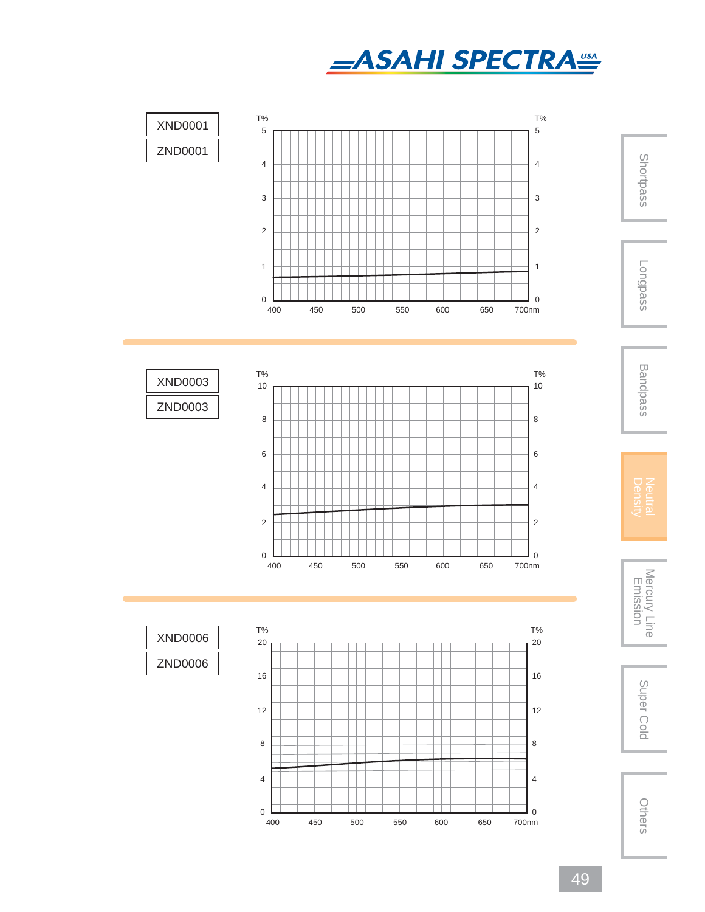





49

Others